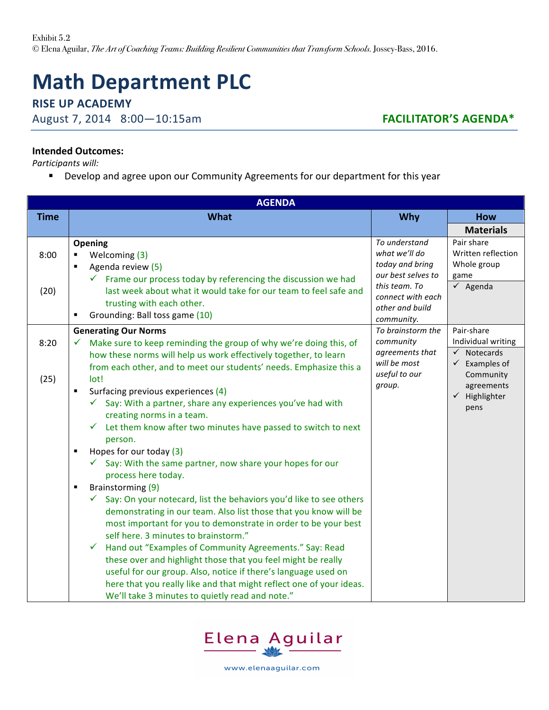# **Math Department PLC**

## **RISE UP ACADEMY**

August 7, 2014 8:00-10:15am **FACILITATOR'S AGENDA\*** 

### **Intended Outcomes:**

**Participants will:** 

■ Develop and agree upon our Community Agreements for our department for this year

| <b>AGENDA</b> |                                                                                                                                                                                                                                                                                                                                                                                                                                                                                                                                                                                                                                  |                                                                                                                                                                                                                                                |                                                                                                                                                                                                                                         |  |  |  |
|---------------|----------------------------------------------------------------------------------------------------------------------------------------------------------------------------------------------------------------------------------------------------------------------------------------------------------------------------------------------------------------------------------------------------------------------------------------------------------------------------------------------------------------------------------------------------------------------------------------------------------------------------------|------------------------------------------------------------------------------------------------------------------------------------------------------------------------------------------------------------------------------------------------|-----------------------------------------------------------------------------------------------------------------------------------------------------------------------------------------------------------------------------------------|--|--|--|
| <b>Time</b>   | <b>What</b>                                                                                                                                                                                                                                                                                                                                                                                                                                                                                                                                                                                                                      | <b>Why</b>                                                                                                                                                                                                                                     | <b>How</b>                                                                                                                                                                                                                              |  |  |  |
|               |                                                                                                                                                                                                                                                                                                                                                                                                                                                                                                                                                                                                                                  |                                                                                                                                                                                                                                                | <b>Materials</b>                                                                                                                                                                                                                        |  |  |  |
| 8:00          | Opening<br>Welcoming (3)<br>Agenda review (5)<br>Frame our process today by referencing the discussion we had                                                                                                                                                                                                                                                                                                                                                                                                                                                                                                                    | To understand<br>what we'll do<br>today and bring<br>our best selves to<br>this team. To<br>connect with each<br>other and build<br>community.<br>To brainstorm the<br>community<br>agreements that<br>will be most<br>useful to our<br>group. | Pair share<br>Written reflection<br>Whole group<br>game<br>$\checkmark$ Agenda<br>Pair-share<br>Individual writing<br>$\checkmark$ Notecards<br>$\checkmark$ Examples of<br>Community<br>agreements<br>$\checkmark$ Highlighter<br>pens |  |  |  |
| (20)          | last week about what it would take for our team to feel safe and<br>trusting with each other.<br>Grounding: Ball toss game (10)<br>٠                                                                                                                                                                                                                                                                                                                                                                                                                                                                                             |                                                                                                                                                                                                                                                |                                                                                                                                                                                                                                         |  |  |  |
| 8:20          | <b>Generating Our Norms</b><br>Make sure to keep reminding the group of why we're doing this, of<br>how these norms will help us work effectively together, to learn<br>from each other, and to meet our students' needs. Emphasize this a                                                                                                                                                                                                                                                                                                                                                                                       |                                                                                                                                                                                                                                                |                                                                                                                                                                                                                                         |  |  |  |
| (25)          | lot!<br>Surfacing previous experiences (4)<br>$\blacksquare$<br>Say: With a partner, share any experiences you've had with<br>$\checkmark$<br>creating norms in a team.<br>Let them know after two minutes have passed to switch to next<br>$\checkmark$<br>person.                                                                                                                                                                                                                                                                                                                                                              |                                                                                                                                                                                                                                                |                                                                                                                                                                                                                                         |  |  |  |
|               | Hopes for our today (3)<br>٠<br>$\checkmark$ Say: With the same partner, now share your hopes for our<br>process here today.                                                                                                                                                                                                                                                                                                                                                                                                                                                                                                     |                                                                                                                                                                                                                                                |                                                                                                                                                                                                                                         |  |  |  |
|               | Brainstorming (9)<br>٠<br>Say: On your notecard, list the behaviors you'd like to see others<br>$\checkmark$<br>demonstrating in our team. Also list those that you know will be<br>most important for you to demonstrate in order to be your best<br>self here. 3 minutes to brainstorm."<br>$\checkmark$<br>Hand out "Examples of Community Agreements." Say: Read<br>these over and highlight those that you feel might be really<br>useful for our group. Also, notice if there's language used on<br>here that you really like and that might reflect one of your ideas.<br>We'll take 3 minutes to quietly read and note." |                                                                                                                                                                                                                                                |                                                                                                                                                                                                                                         |  |  |  |



www.elenaaguilar.com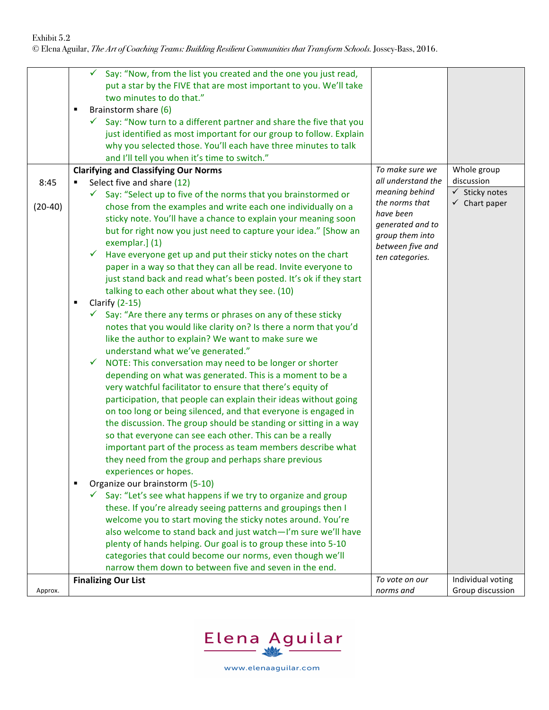#### Exhibit 5.2

© Elena Aguilar, *The Art of Coaching Teams: Building Resilient Communities that Transform Schools.* Jossey-Bass, 2016.

|           | Say: "Now, from the list you created and the one you just read,<br>✓<br>put a star by the FIVE that are most important to you. We'll take<br>two minutes to do that."<br>Brainstorm share (6)<br>٠<br>$\checkmark$ Say: "Now turn to a different partner and share the five that you<br>just identified as most important for our group to follow. Explain<br>why you selected those. You'll each have three minutes to talk<br>and I'll tell you when it's time to switch."                                                                                                                                                                                                                                                                                                                                                                                                                 |                                                                                                           |                           |
|-----------|----------------------------------------------------------------------------------------------------------------------------------------------------------------------------------------------------------------------------------------------------------------------------------------------------------------------------------------------------------------------------------------------------------------------------------------------------------------------------------------------------------------------------------------------------------------------------------------------------------------------------------------------------------------------------------------------------------------------------------------------------------------------------------------------------------------------------------------------------------------------------------------------|-----------------------------------------------------------------------------------------------------------|---------------------------|
|           | <b>Clarifying and Classifying Our Norms</b>                                                                                                                                                                                                                                                                                                                                                                                                                                                                                                                                                                                                                                                                                                                                                                                                                                                  | To make sure we                                                                                           | Whole group               |
| 8:45      | Select five and share (12)<br>٠                                                                                                                                                                                                                                                                                                                                                                                                                                                                                                                                                                                                                                                                                                                                                                                                                                                              | all understand the                                                                                        | discussion                |
|           | $\checkmark$ Say: "Select up to five of the norms that you brainstormed or                                                                                                                                                                                                                                                                                                                                                                                                                                                                                                                                                                                                                                                                                                                                                                                                                   | meaning behind                                                                                            | $\checkmark$ Sticky notes |
| $(20-40)$ | chose from the examples and write each one individually on a<br>sticky note. You'll have a chance to explain your meaning soon<br>but for right now you just need to capture your idea." [Show an<br>exemplar.] (1)<br>$\checkmark$ Have everyone get up and put their sticky notes on the chart<br>paper in a way so that they can all be read. Invite everyone to<br>just stand back and read what's been posted. It's ok if they start<br>talking to each other about what they see. (10)                                                                                                                                                                                                                                                                                                                                                                                                 | the norms that<br>have been<br>generated and to<br>group them into<br>between five and<br>ten categories. | $\checkmark$ Chart paper  |
|           |                                                                                                                                                                                                                                                                                                                                                                                                                                                                                                                                                                                                                                                                                                                                                                                                                                                                                              |                                                                                                           |                           |
|           | Clarify $(2-15)$<br>п                                                                                                                                                                                                                                                                                                                                                                                                                                                                                                                                                                                                                                                                                                                                                                                                                                                                        |                                                                                                           |                           |
|           | $\checkmark$ Say: "Are there any terms or phrases on any of these sticky<br>notes that you would like clarity on? Is there a norm that you'd<br>like the author to explain? We want to make sure we<br>understand what we've generated."<br>NOTE: This conversation may need to be longer or shorter<br>depending on what was generated. This is a moment to be a<br>very watchful facilitator to ensure that there's equity of<br>participation, that people can explain their ideas without going<br>on too long or being silenced, and that everyone is engaged in<br>the discussion. The group should be standing or sitting in a way<br>so that everyone can see each other. This can be a really<br>important part of the process as team members describe what<br>they need from the group and perhaps share previous<br>experiences or hopes.<br>Organize our brainstorm (5-10)<br>٠ |                                                                                                           |                           |
|           | $\checkmark$ Say: "Let's see what happens if we try to organize and group                                                                                                                                                                                                                                                                                                                                                                                                                                                                                                                                                                                                                                                                                                                                                                                                                    |                                                                                                           |                           |
|           | these. If you're already seeing patterns and groupings then I<br>welcome you to start moving the sticky notes around. You're<br>also welcome to stand back and just watch-I'm sure we'll have<br>plenty of hands helping. Our goal is to group these into 5-10<br>categories that could become our norms, even though we'll<br>narrow them down to between five and seven in the end.                                                                                                                                                                                                                                                                                                                                                                                                                                                                                                        |                                                                                                           |                           |
|           | <b>Finalizing Our List</b>                                                                                                                                                                                                                                                                                                                                                                                                                                                                                                                                                                                                                                                                                                                                                                                                                                                                   | To vote on our                                                                                            | Individual voting         |
| Approx.   |                                                                                                                                                                                                                                                                                                                                                                                                                                                                                                                                                                                                                                                                                                                                                                                                                                                                                              | norms and                                                                                                 | Group discussion          |

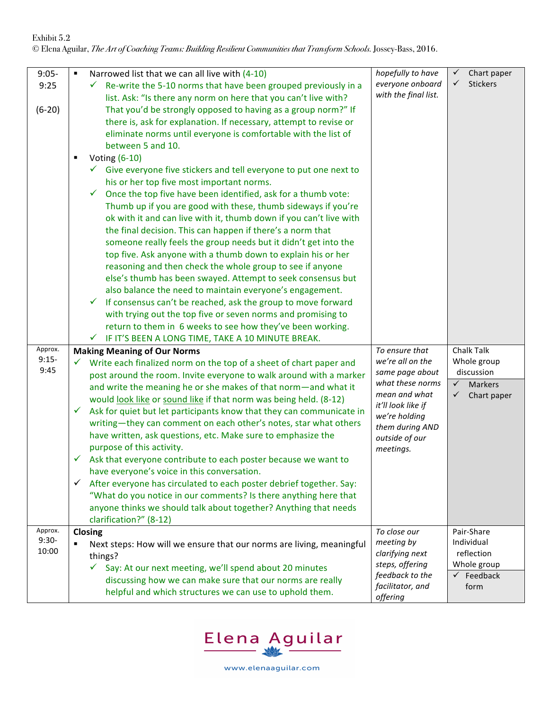| $9:05 -$<br>9:25<br>$(6-20)$ | Narrowed list that we can all live with (4-10)<br>$\blacksquare$<br>Re-write the 5-10 norms that have been grouped previously in a<br>✓<br>list. Ask: "Is there any norm on here that you can't live with?<br>That you'd be strongly opposed to having as a group norm?" If<br>there is, ask for explanation. If necessary, attempt to revise or<br>eliminate norms until everyone is comfortable with the list of<br>between 5 and 10.<br>Voting (6-10)<br>$\checkmark$ Give everyone five stickers and tell everyone to put one next to<br>his or her top five most important norms.<br>Once the top five have been identified, ask for a thumb vote:<br>$\checkmark$<br>Thumb up if you are good with these, thumb sideways if you're<br>ok with it and can live with it, thumb down if you can't live with<br>the final decision. This can happen if there's a norm that<br>someone really feels the group needs but it didn't get into the<br>top five. Ask anyone with a thumb down to explain his or her<br>reasoning and then check the whole group to see if anyone<br>else's thumb has been swayed. Attempt to seek consensus but<br>also balance the need to maintain everyone's engagement.<br>If consensus can't be reached, ask the group to move forward<br>$\checkmark$<br>with trying out the top five or seven norms and promising to<br>return to them in 6 weeks to see how they've been working. | hopefully to have<br>everyone onboard<br>with the final list.                                                                                                                       | Chart paper<br>✓<br>✓<br><b>Stickers</b>                                                                 |
|------------------------------|-----------------------------------------------------------------------------------------------------------------------------------------------------------------------------------------------------------------------------------------------------------------------------------------------------------------------------------------------------------------------------------------------------------------------------------------------------------------------------------------------------------------------------------------------------------------------------------------------------------------------------------------------------------------------------------------------------------------------------------------------------------------------------------------------------------------------------------------------------------------------------------------------------------------------------------------------------------------------------------------------------------------------------------------------------------------------------------------------------------------------------------------------------------------------------------------------------------------------------------------------------------------------------------------------------------------------------------------------------------------------------------------------------------------------|-------------------------------------------------------------------------------------------------------------------------------------------------------------------------------------|----------------------------------------------------------------------------------------------------------|
| Approx.<br>$9:15-$<br>9:45   | $\checkmark$ IF IT'S BEEN A LONG TIME, TAKE A 10 MINUTE BREAK.<br><b>Making Meaning of Our Norms</b><br>Write each finalized norm on the top of a sheet of chart paper and<br>post around the room. Invite everyone to walk around with a marker<br>and write the meaning he or she makes of that norm-and what it<br>would look like or sound like if that norm was being held. (8-12)<br>Ask for quiet but let participants know that they can communicate in<br>✓<br>writing-they can comment on each other's notes, star what others<br>have written, ask questions, etc. Make sure to emphasize the<br>purpose of this activity.<br>Ask that everyone contribute to each poster because we want to<br>✓<br>have everyone's voice in this conversation.<br>After everyone has circulated to each poster debrief together. Say:<br>✓<br>"What do you notice in our comments? Is there anything here that<br>anyone thinks we should talk about together? Anything that needs                                                                                                                                                                                                                                                                                                                                                                                                                                       | To ensure that<br>we're all on the<br>same page about<br>what these norms<br>mean and what<br>it'll look like if<br>we're holding<br>them during AND<br>outside of our<br>meetings. | Chalk Talk<br>Whole group<br>discussion<br>$\checkmark$<br><b>Markers</b><br>$\checkmark$<br>Chart paper |
| Approx.<br>$9:30-$<br>10:00  | clarification?" (8-12)<br>Closing<br>Next steps: How will we ensure that our norms are living, meaningful<br>٠<br>things?<br>$\checkmark$<br>Say: At our next meeting, we'll spend about 20 minutes<br>discussing how we can make sure that our norms are really<br>helpful and which structures we can use to uphold them.                                                                                                                                                                                                                                                                                                                                                                                                                                                                                                                                                                                                                                                                                                                                                                                                                                                                                                                                                                                                                                                                                           | To close our<br>meeting by<br>clarifying next<br>steps, offering<br>feedback to the<br>facilitator, and<br>offering                                                                 | Pair-Share<br>Individual<br>reflection<br>Whole group<br>$\checkmark$ Feedback<br>form                   |



www.elenaaguilar.com